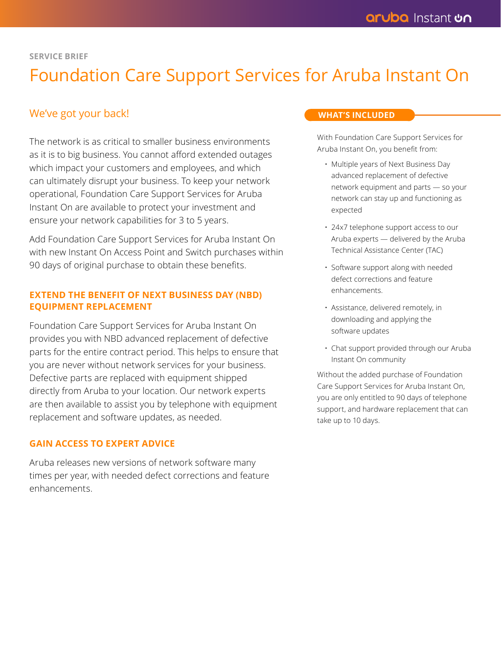#### **SERVICE BRIEF**

# Foundation Care Support Services for Aruba Instant On

## We've got your back!

The network is as critical to smaller business environments as it is to big business. You cannot afford extended outages which impact your customers and employees, and which can ultimately disrupt your business. To keep your network operational, Foundation Care Support Services for Aruba Instant On are available to protect your investment and ensure your network capabilities for 3 to 5 years.

Add Foundation Care Support Services for Aruba Instant On with new Instant On Access Point and Switch purchases within 90 days of original purchase to obtain these benefits.

## **EXTEND THE BENEFIT OF NEXT BUSINESS DAY (NBD) EQUIPMENT REPLACEMENT**

Foundation Care Support Services for Aruba Instant On provides you with NBD advanced replacement of defective parts for the entire contract period. This helps to ensure that you are never without network services for your business. Defective parts are replaced with equipment shipped directly from Aruba to your location. Our network experts are then available to assist you by telephone with equipment replacement and software updates, as needed.

### **GAIN ACCESS TO EXPERT ADVICE**

Aruba releases new versions of network software many times per year, with needed defect corrections and feature enhancements.

#### **WHAT'S INCLUDED**

With Foundation Care Support Services for Aruba Instant On, you benefit from:

- Multiple years of Next Business Day advanced replacement of defective network equipment and parts — so your network can stay up and functioning as expected
- 24x7 telephone support access to our Aruba experts — delivered by the Aruba Technical Assistance Center (TAC)
- Software support along with needed defect corrections and feature enhancements.
- Assistance, delivered remotely, in downloading and applying the software updates
- Chat support provided through our Aruba Instant On community

Without the added purchase of Foundation Care Support Services for Aruba Instant On, you are only entitled to 90 days of telephone support, and hardware replacement that can take up to 10 days.